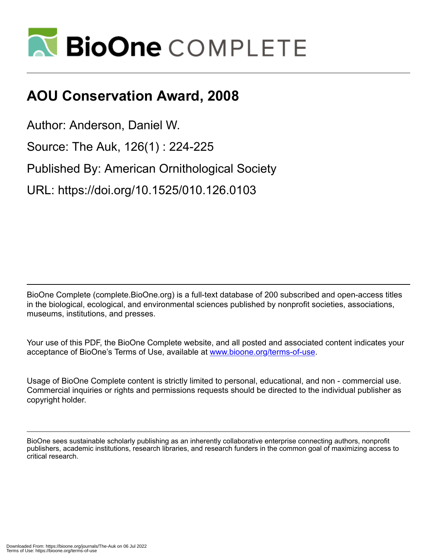

## **AOU Conservation Award, 2008**

Author: Anderson, Daniel W.

Source: The Auk, 126(1) : 224-225

Published By: American Ornithological Society

URL: https://doi.org/10.1525/010.126.0103

BioOne Complete (complete.BioOne.org) is a full-text database of 200 subscribed and open-access titles in the biological, ecological, and environmental sciences published by nonprofit societies, associations, museums, institutions, and presses.

Your use of this PDF, the BioOne Complete website, and all posted and associated content indicates your acceptance of BioOne's Terms of Use, available at www.bioone.org/terms-of-use.

Usage of BioOne Complete content is strictly limited to personal, educational, and non - commercial use. Commercial inquiries or rights and permissions requests should be directed to the individual publisher as copyright holder.

BioOne sees sustainable scholarly publishing as an inherently collaborative enterprise connecting authors, nonprofit publishers, academic institutions, research libraries, and research funders in the common goal of maximizing access to critical research.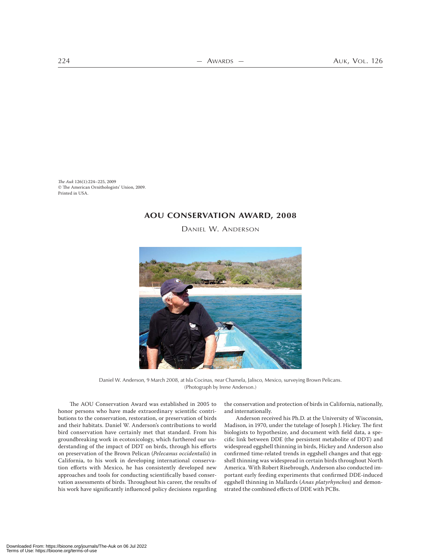*The Auk* 126(1):224–225, 2009 The American Ornithologists' Union, 2009. Printed in USA.

## **AOU CONSERVATION AWARD, 2008**

DANIEL W. ANDERSON



Daniel W. Anderson, 9 March 2008, at Isla Cocinas, near Chamela, Jalisco, Mexico, surveying Brown Pelicans. (Photograph by Irene Anderson.)

The AOU Conservation Award was established in 2005 to honor persons who have made extraordinary scientific contributions to the conservation, restoration, or preservation of birds and their habitats. Daniel W. Anderson's contributions to world bird conservation have certainly met that standard. From his groundbreaking work in ecotoxicology, which furthered our understanding of the impact of DDT on birds, through his efforts on preservation of the Brown Pelican (*Pelecanus occidentalis*) in California, to his work in developing international conservation efforts with Mexico, he has consistently developed new approaches and tools for conducting scientifically based conservation assessments of birds. Throughout his career, the results of his work have significantly influenced policy decisions regarding

the conservation and protection of birds in California, nationally, and internationally.

Anderson received his Ph.D. at the University of Wisconsin, Madison, in 1970, under the tutelage of Joseph J. Hickey. The first biologists to hypothesize, and document with field data, a specific link between DDE (the persistent metabolite of DDT) and widespread eggshell thinning in birds, Hickey and Anderson also confirmed time-related trends in eggshell changes and that eggshell thinning was widespread in certain birds throughout North America. With Robert Risebrough, Anderson also conducted important early feeding experiments that confirmed DDE-induced eggshell thinning in Mallards (*Anas platyrhynchos*) and demonstrated the combined effects of DDE with PCBs.